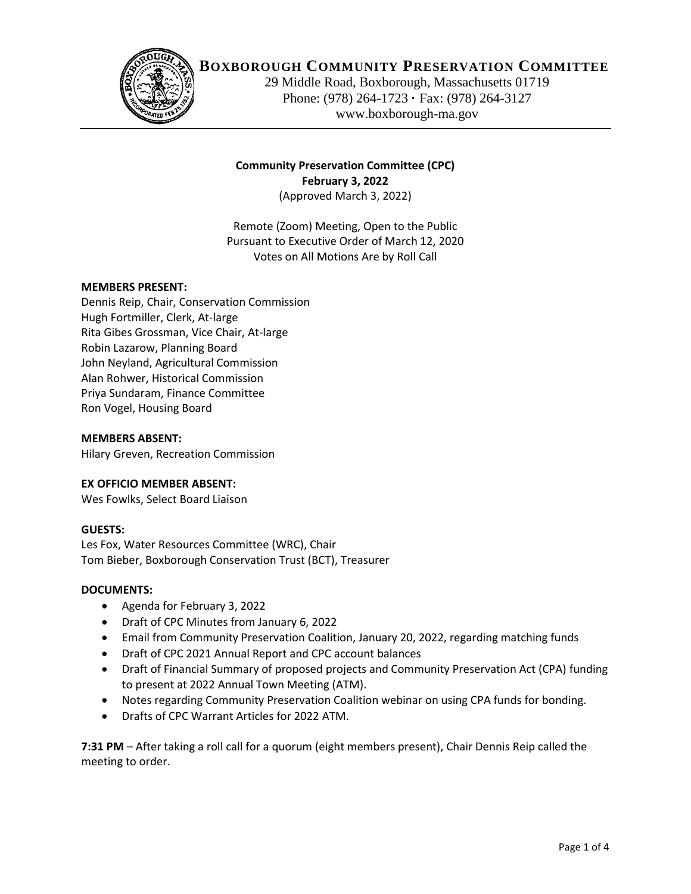

# **BOXBOROUGH COMMUNITY PRESERVATION COMMITTEE**

29 Middle Road, Boxborough, Massachusetts 01719 Phone: (978) 264-1723 **·** Fax: (978) 264-3127 www.boxborough-ma.gov

# **Community Preservation Committee (CPC) February 3, 2022** (Approved March 3, 2022)

Remote (Zoom) Meeting, Open to the Public Pursuant to Executive Order of March 12, 2020 Votes on All Motions Are by Roll Call

### **MEMBERS PRESENT:**

Dennis Reip, Chair, Conservation Commission Hugh Fortmiller, Clerk, At-large Rita Gibes Grossman, Vice Chair, At-large Robin Lazarow, Planning Board John Neyland, Agricultural Commission Alan Rohwer, Historical Commission Priya Sundaram, Finance Committee Ron Vogel, Housing Board

#### **MEMBERS ABSENT:**

Hilary Greven, Recreation Commission

### **EX OFFICIO MEMBER ABSENT:**

Wes Fowlks, Select Board Liaison

### **GUESTS:**

Les Fox, Water Resources Committee (WRC), Chair Tom Bieber, Boxborough Conservation Trust (BCT), Treasurer

### **DOCUMENTS:**

- Agenda for February 3, 2022
- Draft of CPC Minutes from January 6, 2022
- Email from Community Preservation Coalition, January 20, 2022, regarding matching funds
- Draft of CPC 2021 Annual Report and CPC account balances
- Draft of Financial Summary of proposed projects and Community Preservation Act (CPA) funding to present at 2022 Annual Town Meeting (ATM).
- Notes regarding Community Preservation Coalition webinar on using CPA funds for bonding.
- Drafts of CPC Warrant Articles for 2022 ATM.

**7:31 PM** – After taking a roll call for a quorum (eight members present), Chair Dennis Reip called the meeting to order.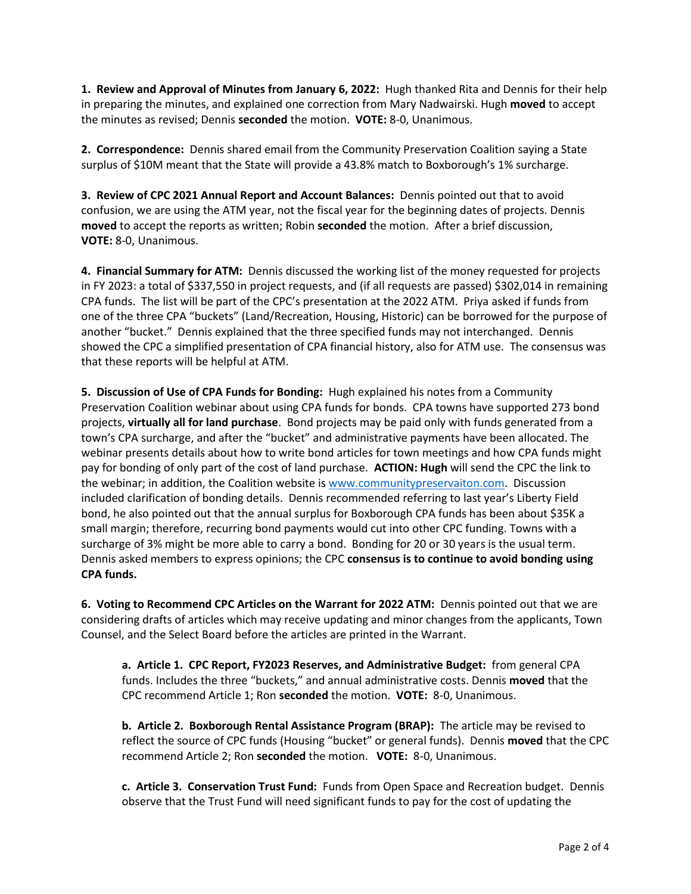**1. Review and Approval of Minutes from January 6, 2022:** Hugh thanked Rita and Dennis for their help in preparing the minutes, and explained one correction from Mary Nadwairski. Hugh **moved** to accept the minutes as revised; Dennis **seconded** the motion. **VOTE:** 8-0, Unanimous.

**2. Correspondence:** Dennis shared email from the Community Preservation Coalition saying a State surplus of \$10M meant that the State will provide a 43.8% match to Boxborough's 1% surcharge.

**3. Review of CPC 2021 Annual Report and Account Balances:** Dennis pointed out that to avoid confusion, we are using the ATM year, not the fiscal year for the beginning dates of projects. Dennis **moved** to accept the reports as written; Robin **seconded** the motion. After a brief discussion, **VOTE:** 8-0, Unanimous.

**4. Financial Summary for ATM:** Dennis discussed the working list of the money requested for projects in FY 2023: a total of \$337,550 in project requests, and (if all requests are passed) \$302,014 in remaining CPA funds. The list will be part of the CPC's presentation at the 2022 ATM. Priya asked if funds from one of the three CPA "buckets" (Land/Recreation, Housing, Historic) can be borrowed for the purpose of another "bucket." Dennis explained that the three specified funds may not interchanged. Dennis showed the CPC a simplified presentation of CPA financial history, also for ATM use. The consensus was that these reports will be helpful at ATM.

**5. Discussion of Use of CPA Funds for Bonding:** Hugh explained his notes from a Community Preservation Coalition webinar about using CPA funds for bonds. CPA towns have supported 273 bond projects, **virtually all for land purchase**. Bond projects may be paid only with funds generated from a town's CPA surcharge, and after the "bucket" and administrative payments have been allocated. The webinar presents details about how to write bond articles for town meetings and how CPA funds might pay for bonding of only part of the cost of land purchase. **ACTION: Hugh** will send the CPC the link to the webinar; in addition, the Coalition website is [www.communitypreservaiton.com.](http://www.communitypreservaiton.com/) Discussion included clarification of bonding details. Dennis recommended referring to last year's Liberty Field bond, he also pointed out that the annual surplus for Boxborough CPA funds has been about \$35K a small margin; therefore, recurring bond payments would cut into other CPC funding. Towns with a surcharge of 3% might be more able to carry a bond. Bonding for 20 or 30 years is the usual term. Dennis asked members to express opinions; the CPC **consensus is to continue to avoid bonding using CPA funds.**

**6. Voting to Recommend CPC Articles on the Warrant for 2022 ATM:** Dennis pointed out that we are considering drafts of articles which may receive updating and minor changes from the applicants, Town Counsel, and the Select Board before the articles are printed in the Warrant.

**a. Article 1. CPC Report, FY2023 Reserves, and Administrative Budget:** from general CPA funds. Includes the three "buckets," and annual administrative costs. Dennis **moved** that the CPC recommend Article 1; Ron **seconded** the motion. **VOTE:** 8-0, Unanimous.

**b. Article 2. Boxborough Rental Assistance Program (BRAP):** The article may be revised to reflect the source of CPC funds (Housing "bucket" or general funds). Dennis **moved** that the CPC recommend Article 2; Ron **seconded** the motion. **VOTE:** 8-0, Unanimous.

**c. Article 3. Conservation Trust Fund:** Funds from Open Space and Recreation budget. Dennis observe that the Trust Fund will need significant funds to pay for the cost of updating the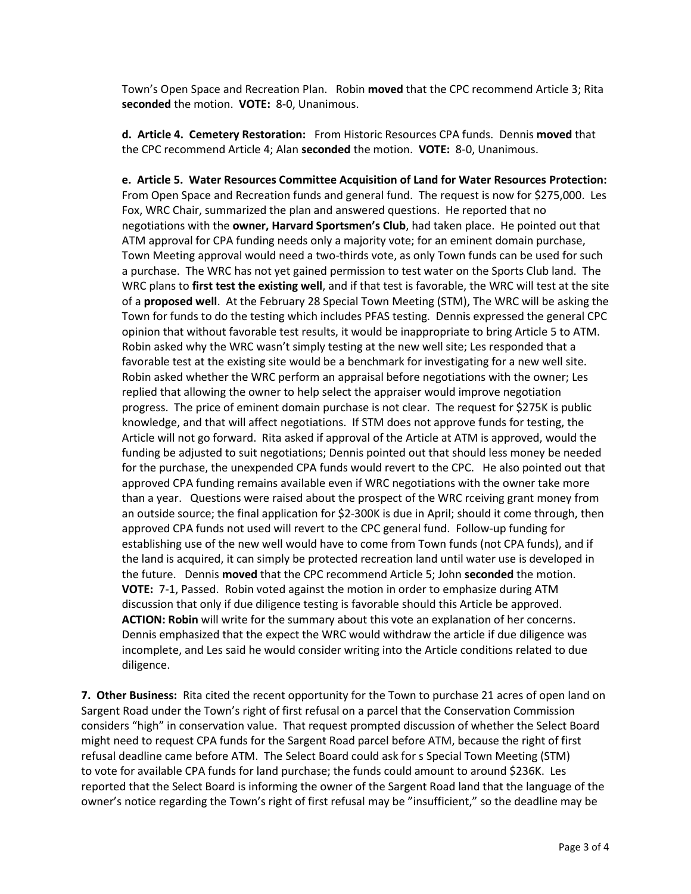Town's Open Space and Recreation Plan. Robin **moved** that the CPC recommend Article 3; Rita **seconded** the motion. **VOTE:** 8-0, Unanimous.

**d. Article 4. Cemetery Restoration:** From Historic Resources CPA funds. Dennis **moved** that the CPC recommend Article 4; Alan **seconded** the motion. **VOTE:** 8-0, Unanimous.

**e. Article 5. Water Resources Committee Acquisition of Land for Water Resources Protection:**  From Open Space and Recreation funds and general fund. The request is now for \$275,000. Les Fox, WRC Chair, summarized the plan and answered questions. He reported that no negotiations with the **owner, Harvard Sportsmen's Club**, had taken place. He pointed out that ATM approval for CPA funding needs only a majority vote; for an eminent domain purchase, Town Meeting approval would need a two-thirds vote, as only Town funds can be used for such a purchase. The WRC has not yet gained permission to test water on the Sports Club land. The WRC plans to **first test the existing well**, and if that test is favorable, the WRC will test at the site of a **proposed well**. At the February 28 Special Town Meeting (STM), The WRC will be asking the Town for funds to do the testing which includes PFAS testing. Dennis expressed the general CPC opinion that without favorable test results, it would be inappropriate to bring Article 5 to ATM. Robin asked why the WRC wasn't simply testing at the new well site; Les responded that a favorable test at the existing site would be a benchmark for investigating for a new well site. Robin asked whether the WRC perform an appraisal before negotiations with the owner; Les replied that allowing the owner to help select the appraiser would improve negotiation progress. The price of eminent domain purchase is not clear. The request for \$275K is public knowledge, and that will affect negotiations. If STM does not approve funds for testing, the Article will not go forward. Rita asked if approval of the Article at ATM is approved, would the funding be adjusted to suit negotiations; Dennis pointed out that should less money be needed for the purchase, the unexpended CPA funds would revert to the CPC. He also pointed out that approved CPA funding remains available even if WRC negotiations with the owner take more than a year. Questions were raised about the prospect of the WRC rceiving grant money from an outside source; the final application for \$2-300K is due in April; should it come through, then approved CPA funds not used will revert to the CPC general fund. Follow-up funding for establishing use of the new well would have to come from Town funds (not CPA funds), and if the land is acquired, it can simply be protected recreation land until water use is developed in the future. Dennis **moved** that the CPC recommend Article 5; John **seconded** the motion. **VOTE:** 7-1, Passed. Robin voted against the motion in order to emphasize during ATM discussion that only if due diligence testing is favorable should this Article be approved. **ACTION: Robin** will write for the summary about this vote an explanation of her concerns. Dennis emphasized that the expect the WRC would withdraw the article if due diligence was incomplete, and Les said he would consider writing into the Article conditions related to due diligence.

**7. Other Business:** Rita cited the recent opportunity for the Town to purchase 21 acres of open land on Sargent Road under the Town's right of first refusal on a parcel that the Conservation Commission considers "high" in conservation value. That request prompted discussion of whether the Select Board might need to request CPA funds for the Sargent Road parcel before ATM, because the right of first refusal deadline came before ATM. The Select Board could ask for s Special Town Meeting (STM) to vote for available CPA funds for land purchase; the funds could amount to around \$236K. Les reported that the Select Board is informing the owner of the Sargent Road land that the language of the owner's notice regarding the Town's right of first refusal may be "insufficient," so the deadline may be